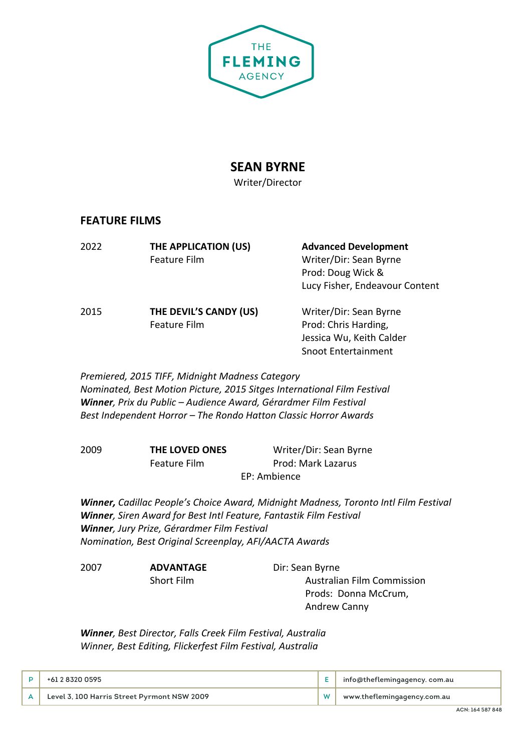

# **SEAN BYRNE**

Writer/Director

## **FEATURE FILMS**

| 2022 | THE APPLICATION (US)<br>Feature Film   | <b>Advanced Development</b><br>Writer/Dir: Sean Byrne<br>Prod: Doug Wick &<br>Lucy Fisher, Endeavour Content |
|------|----------------------------------------|--------------------------------------------------------------------------------------------------------------|
| 2015 | THE DEVIL'S CANDY (US)<br>Feature Film | Writer/Dir: Sean Byrne<br>Prod: Chris Harding,<br>Jessica Wu, Keith Calder<br><b>Snoot Entertainment</b>     |

*Premiered, 2015 TIFF, Midnight Madness Category Nominated, Best Motion Picture, 2015 Sitges International Film Festival Winner, Prix du Public – Audience Award, Gérardmer Film Festival Best Independent Horror – The Rondo Hatton Classic Horror Awards*

| 2009 | THE LOVED ONES | Writer/Dir: Sean Byrne |
|------|----------------|------------------------|
|      | Feature Film   | Prod: Mark Lazarus     |
|      |                | EP: Ambience           |

*Winner, Cadillac People's Choice Award, Midnight Madness, Toronto Intl Film Festival Winner, Siren Award for Best Intl Feature, Fantastik Film Festival Winner, Jury Prize, Gérardmer Film Festival Nomination, Best Original Screenplay, AFI/AACTA Awards*

2007 **ADVANTAGE** Dir: Sean Byrne

Short Film **Australian Film Commission** Prods: Donna McCrum, Andrew Canny

*Winner, Best Director, Falls Creek Film Festival, Australia Winner, Best Editing, Flickerfest Film Festival, Australia*

| +61 2 8320 0595                             | , info@theflemingagency. com.au |
|---------------------------------------------|---------------------------------|
| Level 3, 100 Harris Street Pyrmont NSW 2009 | www.theflemingagency.com.au     |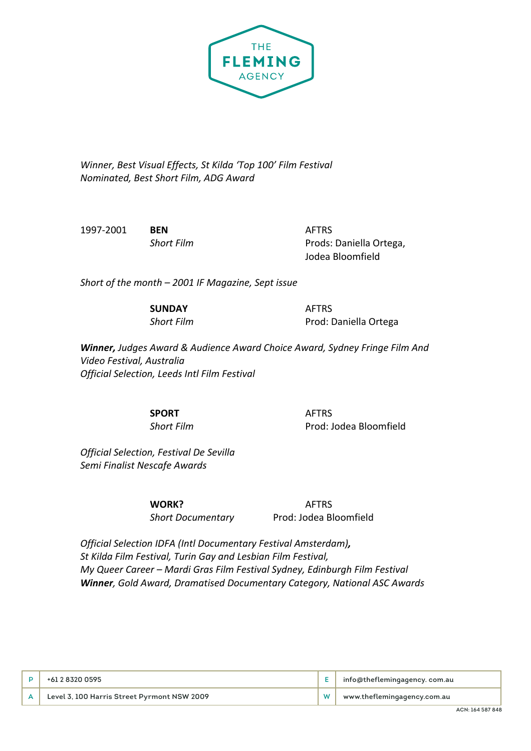

*Winner, Best Visual Effects, St Kilda 'Top 100' Film Festival Nominated, Best Short Film, ADG Award*

1997-2001 **BEN** AFTRS

**Short Film** Prods: Daniella Ortega, Jodea Bloomfield

*Short of the month – 2001 IF Magazine, Sept issue* 

**SUNDAY** AFTRS

**Short Film** Prod: Daniella Ortega

*Winner, Judges Award & Audience Award Choice Award, Sydney Fringe Film And Video Festival, Australia Official Selection, Leeds Intl Film Festival*

**SPORT** AFTRS

**Short Film** Prod: Jodea Bloomfield

*Official Selection, Festival De Sevilla Semi Finalist Nescafe Awards*

**WORK?** AFTRS

*Short Documentary* Prod: Jodea Bloomfield

*Official Selection IDFA (Intl Documentary Festival Amsterdam), St Kilda Film Festival, Turin Gay and Lesbian Film Festival, My Queer Career – Mardi Gras Film Festival Sydney, Edinburgh Film Festival Winner, Gold Award, Dramatised Documentary Category, National ASC Awards*

| +61 2 8320 0595                             | info@theflemingagency. com.au |
|---------------------------------------------|-------------------------------|
| Level 3, 100 Harris Street Pyrmont NSW 2009 | www.theflemingagency.com.au   |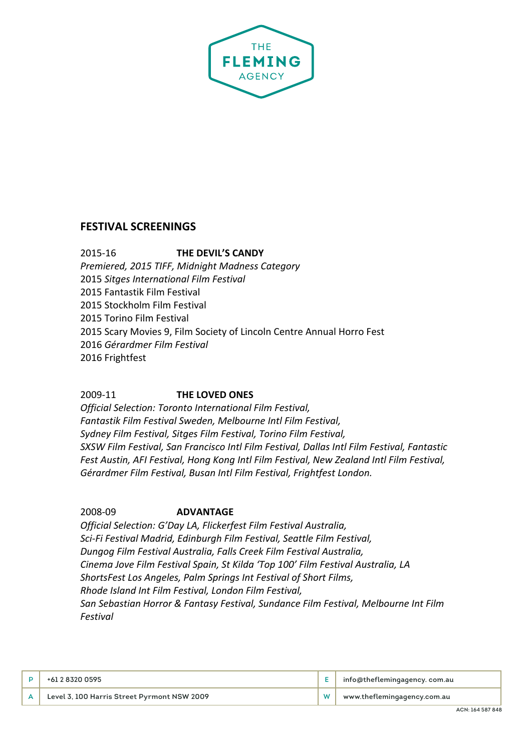

## **FESTIVAL SCREENINGS**

2015-16 **THE DEVIL'S CANDY** *Premiered, 2015 TIFF, Midnight Madness Category* 2015 *Sitges International Film Festival* 2015 Fantastik Film Festival 2015 Stockholm Film Festival 2015 Torino Film Festival 2015 Scary Movies 9, Film Society of Lincoln Centre Annual Horro Fest 2016 *Gérardmer Film Festival* 2016 Frightfest

### 2009-11 **THE LOVED ONES**

*Official Selection: Toronto International Film Festival, Fantastik Film Festival Sweden, Melbourne Intl Film Festival, Sydney Film Festival, Sitges Film Festival, Torino Film Festival, SXSW Film Festival, San Francisco Intl Film Festival, Dallas Intl Film Festival, Fantastic Fest Austin, AFI Festival, Hong Kong Intl Film Festival, New Zealand Intl Film Festival, Gérardmer Film Festival, Busan Intl Film Festival, Frightfest London.*

#### 2008-09 **ADVANTAGE**

*Official Selection: G'Day LA, Flickerfest Film Festival Australia, Sci-Fi Festival Madrid, Edinburgh Film Festival, Seattle Film Festival, Dungog Film Festival Australia, Falls Creek Film Festival Australia, Cinema Jove Film Festival Spain, St Kilda 'Top 100' Film Festival Australia, LA ShortsFest Los Angeles, Palm Springs Int Festival of Short Films, Rhode Island Int Film Festival, London Film Festival, San Sebastian Horror & Fantasy Festival, Sundance Film Festival, Melbourne Int Film Festival*

| +61 2 8320 0595                             | info@theflemingagency. com.au |
|---------------------------------------------|-------------------------------|
| Level 3, 100 Harris Street Pyrmont NSW 2009 | www.theflemingagency.com.au   |